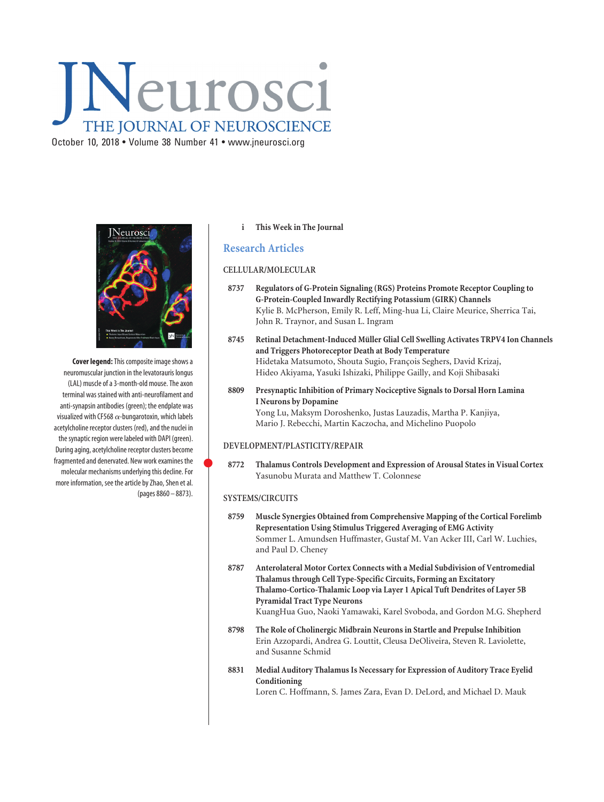# Neurosci THE JOURNAL OF NEUROSCIENCE October 10, 2018 • Volume 38 Number 41 • www.jneurosci.org



**Cover legend:**This composite image shows a neuromuscular junction in the levatorauris longus (LAL) muscle of a 3-month-old mouse. The axon terminal was stained with anti-neurofilament and anti-synapsin antibodies (green); the endplate was visualized with CF568  $\alpha$ -bungarotoxin, which labels acetylcholine receptor clusters (red), and the nuclei in the synaptic region were labeled with DAPI (green). During aging, acetylcholine receptor clusters become fragmented and denervated. New work examines the molecular mechanisms underlying this decline. For more information, see the article by Zhao, Shen et al. (pages 8860 – 8873).

## **i This Week in The Journal**

## **Research Articles**

## **CELLULAR/MOLECULAR**

- **8737 Regulators of G-Protein Signaling (RGS) Proteins Promote Receptor Coupling to G-Protein-Coupled Inwardly Rectifying Potassium (GIRK) Channels** Kylie B. McPherson, Emily R. Leff, Ming-hua Li, Claire Meurice, Sherrica Tai, John R. Traynor, and Susan L. Ingram
- 8745 Retinal Detachment-Induced Müller Glial Cell Swelling Activates TRPV4 Ion Channels **and Triggers Photoreceptor Death at Body Temperature** Hidetaka Matsumoto, Shouta Sugio, François Seghers, David Krizaj, Hideo Akiyama, Yasuki Ishizaki, Philippe Gailly, and Koji Shibasaki
- **8809 Presynaptic Inhibition of Primary Nociceptive Signals to Dorsal Horn Lamina I Neurons by Dopamine** Yong Lu, Maksym Doroshenko, Justas Lauzadis, Martha P. Kanjiya, Mario J. Rebecchi, Martin Kaczocha, and Michelino Puopolo

## **DEVELOPMENT/PLASTICITY/REPAIR**

 **8772 Thalamus Controls Development and Expression of Arousal States in Visual Cortex** Yasunobu Murata and Matthew T. Colonnese

## **SYSTEMS/CIRCUITS**

 $\bullet$ 

- **8759 Muscle Synergies Obtained from Comprehensive Mapping of the Cortical Forelimb Representation Using Stimulus Triggered Averaging of EMG Activity** Sommer L. Amundsen Huffmaster, Gustaf M. Van Acker III, Carl W. Luchies, and Paul D. Cheney
- **8787 Anterolateral Motor Cortex Connects with a Medial Subdivision of Ventromedial Thalamus through Cell Type-Specific Circuits, Forming an Excitatory Thalamo-Cortico-Thalamic Loop via Layer 1 Apical Tuft Dendrites of Layer 5B Pyramidal Tract Type Neurons** KuangHua Guo, Naoki Yamawaki, Karel Svoboda, and Gordon M.G. Shepherd
- **8798 The Role of Cholinergic Midbrain Neurons in Startle and Prepulse Inhibition** Erin Azzopardi, Andrea G. Louttit, Cleusa DeOliveira, Steven R. Laviolette, and Susanne Schmid
- **8831 Medial Auditory Thalamus Is Necessary for Expression of Auditory Trace Eyelid Conditioning** Loren C. Hoffmann, S. James Zara, Evan D. DeLord, and Michael D. Mauk